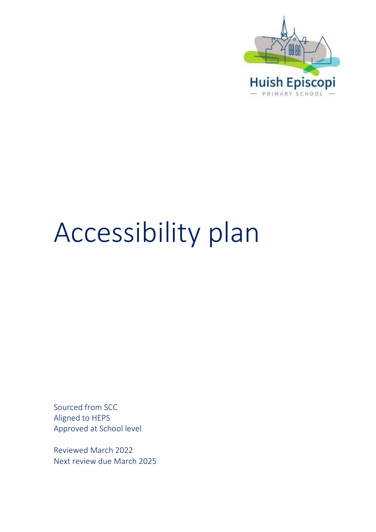

# Accessibility plan

Sourced from SCC Aligned to HEPS Approved at School level

Reviewed March 2022 Next review due March 2025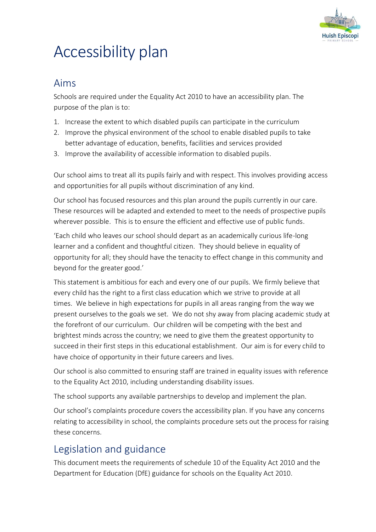

## Accessibility plan

### Aims

Schools are required under the Equality Act 2010 to have an accessibility plan. The purpose of the plan is to:

- 1. Increase the extent to which disabled pupils can participate in the curriculum
- 2. Improve the physical environment of the school to enable disabled pupils to take better advantage of education, benefits, facilities and services provided
- 3. Improve the availability of accessible information to disabled pupils.

Our school aims to treat all its pupils fairly and with respect. This involves providing access and opportunities for all pupils without discrimination of any kind.

Our school has focused resources and this plan around the pupils currently in our care. These resources will be adapted and extended to meet to the needs of prospective pupils wherever possible. This is to ensure the efficient and effective use of public funds.

'Each child who leaves our school should depart as an academically curious life-long learner and a confident and thoughtful citizen. They should believe in equality of opportunity for all; they should have the tenacity to effect change in this community and beyond for the greater good.'

This statement is ambitious for each and every one of our pupils. We firmly believe that every child has the right to a first class education which we strive to provide at all times. We believe in high expectations for pupils in all areas ranging from the way we present ourselves to the goals we set. We do not shy away from placing academic study at the forefront of our curriculum. Our children will be competing with the best and brightest minds across the country; we need to give them the greatest opportunity to succeed in their first steps in this educational establishment. Our aim is for every child to have choice of opportunity in their future careers and lives.

Our school is also committed to ensuring staff are trained in equality issues with reference to the Equality Act 2010, including understanding disability issues.

The school supports any available partnerships to develop and implement the plan.

Our school's complaints procedure covers the accessibility plan. If you have any concerns relating to accessibility in school, the complaints procedure sets out the process for raising these concerns.

## Legislation and guidance

This document meets the requirements of [schedule 10 of the Equality Act 2010](http://www.legislation.gov.uk/ukpga/2010/15/schedule/10) and the Department for Education (DfE) [guidance for schools on the Equality Act 2010.](https://www.gov.uk/government/publications/equality-act-2010-advice-for-schools)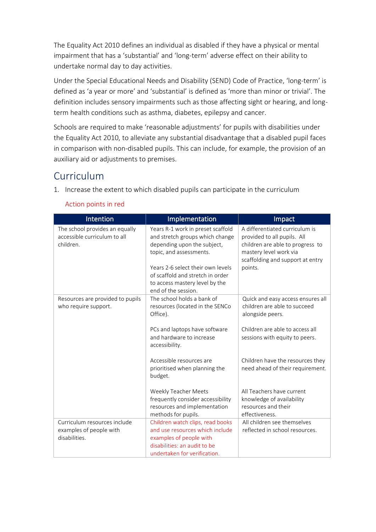The Equality Act 2010 defines an individual as disabled if they have a physical or mental impairment that has a 'substantial' and 'long-term' adverse effect on their ability to undertake normal day to day activities.

Under th[e Special Educational Needs and Disability \(SEND\) Code of Practice](https://www.gov.uk/government/publications/send-code-of-practice-0-to-25), 'long-term' is defined as 'a year or more' and 'substantial' is defined as 'more than minor or trivial'. The definition includes sensory impairments such as those affecting sight or hearing, and longterm health conditions such as asthma, diabetes, epilepsy and cancer.

Schools are required to make 'reasonable adjustments' for pupils with disabilities under the Equality Act 2010, to alleviate any substantial disadvantage that a disabled pupil faces in comparison with non-disabled pupils. This can include, for example, the provision of an auxiliary aid or adjustments to premises.

## Curriculum

1. Increase the extent to which disabled pupils can participate in the curriculum

| Intention                                                                   | Implementation                                                                                                                                                                                                                                                   | Impact                                                                                                                                                                     |
|-----------------------------------------------------------------------------|------------------------------------------------------------------------------------------------------------------------------------------------------------------------------------------------------------------------------------------------------------------|----------------------------------------------------------------------------------------------------------------------------------------------------------------------------|
| The school provides an equally<br>accessible curriculum to all<br>children. | Years R-1 work in preset scaffold<br>and stretch groups which change<br>depending upon the subject,<br>topic, and assessments.<br>Years 2-6 select their own levels<br>of scaffold and stretch in order<br>to access mastery level by the<br>end of the session. | A differentiated curriculum is<br>provided to all pupils. All<br>children are able to progress to<br>mastery level work via<br>scaffolding and support at entry<br>points. |
| Resources are provided to pupils<br>who require support.                    | The school holds a bank of<br>resources (located in the SENCo<br>Office).<br>PCs and laptops have software<br>and hardware to increase<br>accessibility.                                                                                                         | Quick and easy access ensures all<br>children are able to succeed<br>alongside peers.<br>Children are able to access all<br>sessions with equity to peers.                 |
|                                                                             | Accessible resources are<br>prioritised when planning the<br>budget.                                                                                                                                                                                             | Children have the resources they<br>need ahead of their requirement.                                                                                                       |
|                                                                             | Weekly Teacher Meets<br>frequently consider accessibility<br>resources and implementation<br>methods for pupils.                                                                                                                                                 | All Teachers have current<br>knowledge of availability<br>resources and their<br>effectiveness.                                                                            |
| Curriculum resources include<br>examples of people with<br>disabilities.    | Children watch clips, read books<br>and use resources which include<br>examples of people with<br>disabilities: an audit to be<br>undertaken for verification.                                                                                                   | All children see themselves<br>reflected in school resources.                                                                                                              |

#### Action points in red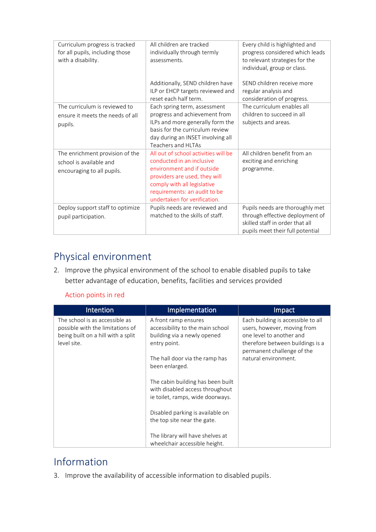| Curriculum progress is tracked<br>for all pupils, including those<br>with a disability.  | All children are tracked<br>individually through termly<br>assessments.                                                                                                                                                         | Every child is highlighted and<br>progress considered which leads<br>to relevant strategies for the<br>individual, group or class.        |
|------------------------------------------------------------------------------------------|---------------------------------------------------------------------------------------------------------------------------------------------------------------------------------------------------------------------------------|-------------------------------------------------------------------------------------------------------------------------------------------|
|                                                                                          | Additionally, SEND children have<br>ILP or EHCP targets reviewed and<br>reset each half term.                                                                                                                                   | SEND children receive more<br>regular analysis and<br>consideration of progress.                                                          |
| The curriculum is reviewed to<br>ensure it meets the needs of all<br>pupils.             | Each spring term, assessment<br>progress and achievement from<br>ILPs and more generally form the<br>basis for the curriculum review<br>day during an INSET involving all<br>Teachers and HLTAs                                 | The curriculum enables all<br>children to succeed in all<br>subjects and areas.                                                           |
| The enrichment provision of the<br>school is available and<br>encouraging to all pupils. | All out of school activities will be<br>conducted in an inclusive<br>environment and if outside<br>providers are used, they will<br>comply with all legislative<br>requirements: an audit to be<br>undertaken for verification. | All children benefit from an<br>exciting and enriching<br>programme.                                                                      |
| Deploy support staff to optimize<br>pupil participation.                                 | Pupils needs are reviewed and<br>matched to the skills of staff.                                                                                                                                                                | Pupils needs are thoroughly met<br>through effective deployment of<br>skilled staff in order that all<br>pupils meet their full potential |

## Physical environment

2. Improve the physical environment of the school to enable disabled pupils to take better advantage of education, benefits, facilities and services provided

#### Action points in red

| <b>Intention</b>                                                                                                        | Implementation                                                                                                                                              | Impact                                                                                                                                                                                  |
|-------------------------------------------------------------------------------------------------------------------------|-------------------------------------------------------------------------------------------------------------------------------------------------------------|-----------------------------------------------------------------------------------------------------------------------------------------------------------------------------------------|
| The school is as accessible as<br>possible with the limitations of<br>being built on a hill with a split<br>level site. | A front ramp ensures<br>accessibility to the main school<br>building via a newly opened<br>entry point.<br>The hall door via the ramp has<br>been enlarged. | Each building is accessible to all<br>users, however, moving from<br>one level to another and<br>therefore between buildings is a<br>permanent challenge of the<br>natural environment. |
|                                                                                                                         | The cabin building has been built<br>with disabled access throughout<br>ie toilet, ramps, wide doorways.                                                    |                                                                                                                                                                                         |
|                                                                                                                         | Disabled parking is available on<br>the top site near the gate.                                                                                             |                                                                                                                                                                                         |
|                                                                                                                         | The library will have shelves at<br>wheelchair accessible height.                                                                                           |                                                                                                                                                                                         |

## Information

3. Improve the availability of accessible information to disabled pupils.